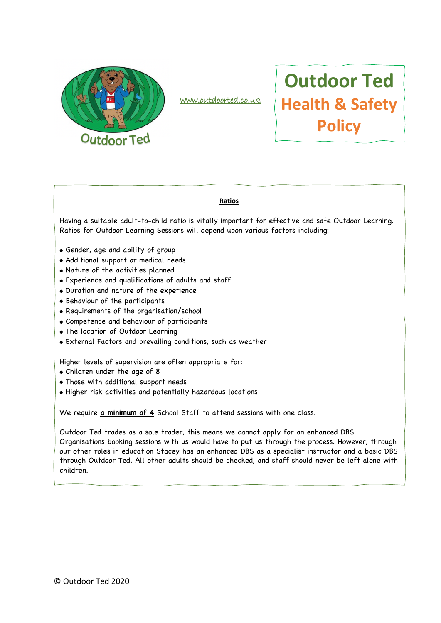

www.outdoorted.co.uk

# **Outdoor Ted Health & Safety Policy**

#### **Ratios**

Having a suitable adult-to-child ratio is vitally important for effective and safe Outdoor Learning. Ratios for Outdoor Learning Sessions will depend upon various factors including:

- Gender, age and ability of group
- Additional support or medical needs
- Nature of the activities planned
- Experience and qualifications of adults and staff
- Duration and nature of the experience
- Behaviour of the participants
- Requirements of the organisation/school
- Competence and behaviour of participants
- The location of Outdoor Learning
- External Factors and prevailing conditions, such as weather

Higher levels of supervision are often appropriate for:

- Children under the age of 8
- Those with additional support needs
- Higher risk activities and potentially hazardous locations

We require **a minimum of 4** School Staff to attend sessions with one class.

Outdoor Ted trades as a sole trader, this means we cannot apply for an enhanced DBS. Organisations booking sessions with us would have to put us through the process. However, through our other roles in education Stacey has an enhanced DBS as a specialist instructor and a basic DBS through Outdoor Ted. All other adults should be checked, and staff should never be left alone with children.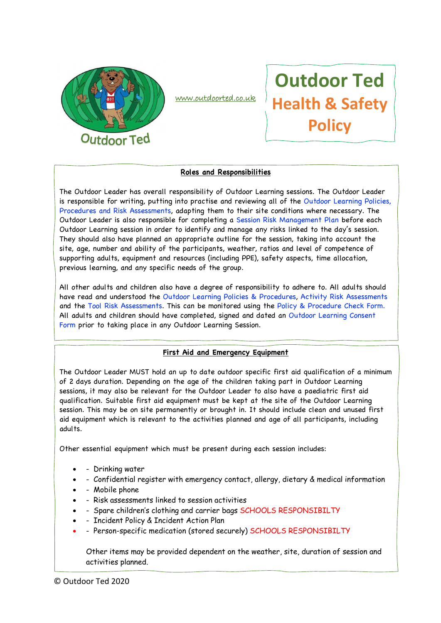

www.outdoorted.co.uk

# **Outdoor Ted Health & Safety Policy**

### **Roles and Responsibilities**

The Outdoor Leader has overall responsibility of Outdoor Learning sessions. The Outdoor Leader is responsible for writing, putting into practise and reviewing all of the Outdoor Learning Policies, Procedures and Risk Assessments, adapting them to their site conditions where necessary. The Outdoor Leader is also responsible for completing a Session Risk Management Plan before each Outdoor Learning session in order to identify and manage any risks linked to the day's session. They should also have planned an appropriate outline for the session, taking into account the site, age, number and ability of the participants, weather, ratios and level of competence of supporting adults, equipment and resources (including PPE), safety aspects, time allocation, previous learning, and any specific needs of the group.

All other adults and children also have a degree of responsibility to adhere to. All adults should have read and understood the Outdoor Learning Policies & Procedures, Activity Risk Assessments and the Tool Risk Assessments. This can be monitored using the Policy & Procedure Check Form. All adults and children should have completed, signed and dated an Outdoor Learning Consent Form prior to taking place in any Outdoor Learning Session.

## **First Aid and Emergency Equipment**

The Outdoor Leader MUST hold an up to date outdoor specific first aid qualification of a minimum of 2 days duration. Depending on the age of the children taking part in Outdoor Learning sessions, it may also be relevant for the Outdoor Leader to also have a paediatric first aid qualification. Suitable first aid equipment must be kept at the site of the Outdoor Learning session. This may be on site permanently or brought in. It should include clean and unused first aid equipment which is relevant to the activities planned and age of all participants, including adults.

Other essential equipment which must be present during each session includes:

- Drinking water
- - Confidential register with emergency contact, allergy, dietary & medical information
- - Mobile phone
- - Risk assessments linked to session activities
- Spare children's clothing and carrier bags SCHOOLS RESPONSIBILTY
- - Incident Policy & Incident Action Plan
- Person-specific medication (stored securely) SCHOOLS RESPONSIBILTY

Other items may be provided dependent on the weather, site, duration of session and activities planned.